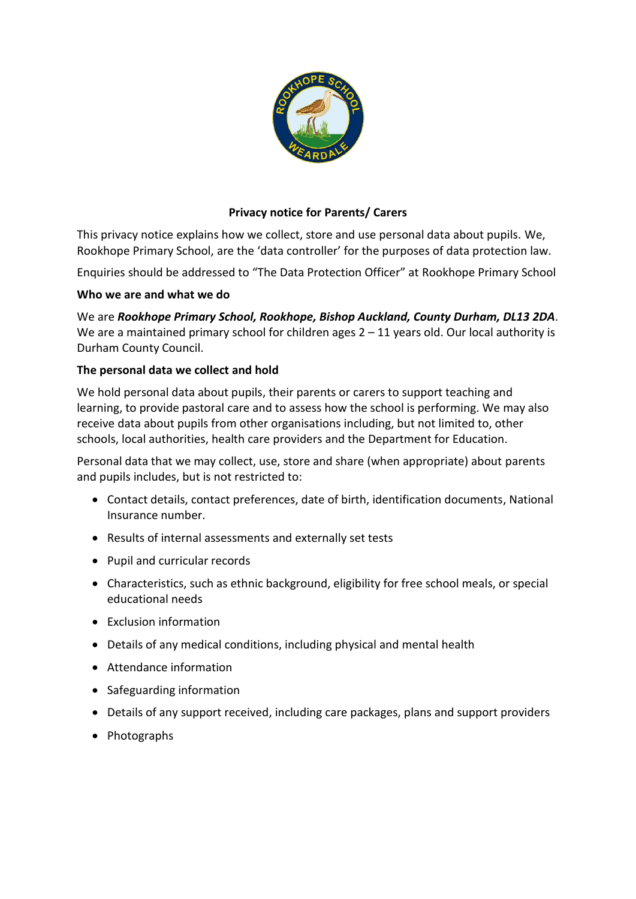

# **Privacy notice for Parents/ Carers**

This privacy notice explains how we collect, store and use personal data about pupils. We, Rookhope Primary School, are the 'data controller' for the purposes of data protection law.

Enquiries should be addressed to "The Data Protection Officer" at Rookhope Primary School

## **Who we are and what we do**

We are *Rookhope Primary School, Rookhope, Bishop Auckland, County Durham, DL13 2DA*. We are a maintained primary school for children ages  $2 - 11$  years old. Our local authority is Durham County Council.

## **The personal data we collect and hold**

We hold personal data about pupils, their parents or carers to support teaching and learning, to provide pastoral care and to assess how the school is performing. We may also receive data about pupils from other organisations including, but not limited to, other schools, local authorities, health care providers and the Department for Education.

Personal data that we may collect, use, store and share (when appropriate) about parents and pupils includes, but is not restricted to:

- Contact details, contact preferences, date of birth, identification documents, National Insurance number.
- Results of internal assessments and externally set tests
- Pupil and curricular records
- Characteristics, such as ethnic background, eligibility for free school meals, or special educational needs
- Exclusion information
- Details of any medical conditions, including physical and mental health
- Attendance information
- Safeguarding information
- Details of any support received, including care packages, plans and support providers
- Photographs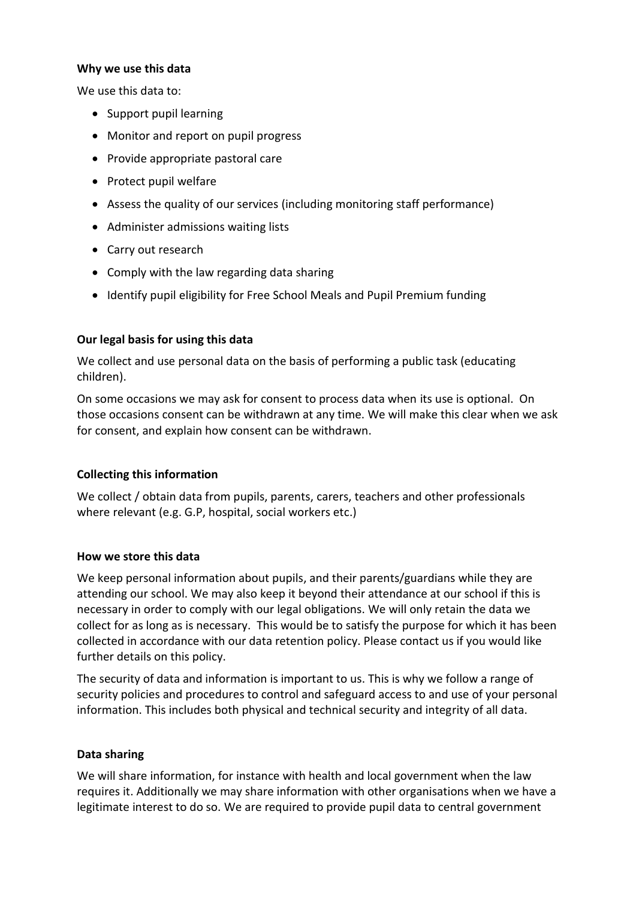#### **Why we use this data**

We use this data to:

- Support pupil learning
- Monitor and report on pupil progress
- Provide appropriate pastoral care
- Protect pupil welfare
- Assess the quality of our services (including monitoring staff performance)
- Administer admissions waiting lists
- Carry out research
- Comply with the law regarding data sharing
- Identify pupil eligibility for Free School Meals and Pupil Premium funding

## **Our legal basis for using this data**

We collect and use personal data on the basis of performing a public task (educating children).

On some occasions we may ask for consent to process data when its use is optional. On those occasions consent can be withdrawn at any time. We will make this clear when we ask for consent, and explain how consent can be withdrawn.

## **Collecting this information**

We collect / obtain data from pupils, parents, carers, teachers and other professionals where relevant (e.g. G.P, hospital, social workers etc.)

#### **How we store this data**

We keep personal information about pupils, and their parents/guardians while they are attending our school. We may also keep it beyond their attendance at our school if this is necessary in order to comply with our legal obligations. We will only retain the data we collect for as long as is necessary. This would be to satisfy the purpose for which it has been collected in accordance with our data retention policy. Please contact us if you would like further details on this policy.

The security of data and information is important to us. This is why we follow a range of security policies and procedures to control and safeguard access to and use of your personal information. This includes both physical and technical security and integrity of all data.

#### **Data sharing**

We will share information, for instance with health and local government when the law requires it. Additionally we may share information with other organisations when we have a legitimate interest to do so. We are required to provide pupil data to central government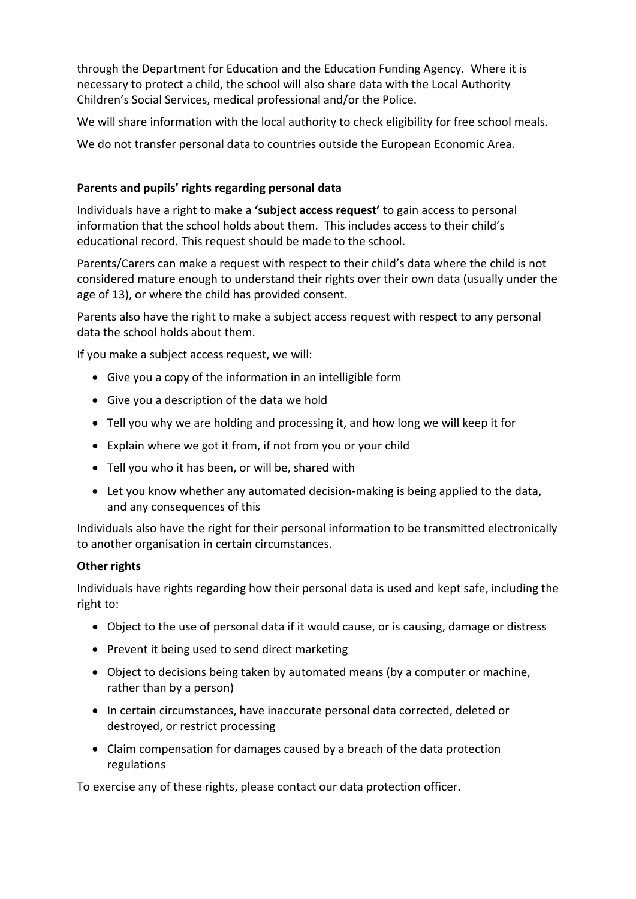through the Department for Education and the Education Funding Agency. Where it is necessary to protect a child, the school will also share data with the Local Authority Children's Social Services, medical professional and/or the Police.

We will share information with the local authority to check eligibility for free school meals.

We do not transfer personal data to countries outside the European Economic Area.

# **Parents and pupils' rights regarding personal data**

Individuals have a right to make a **'subject access request'** to gain access to personal information that the school holds about them. This includes access to their child's educational record. This request should be made to the school.

Parents/Carers can make a request with respect to their child's data where the child is not considered mature enough to understand their rights over their own data (usually under the age of 13), or where the child has provided consent.

Parents also have the right to make a subject access request with respect to any personal data the school holds about them.

If you make a subject access request, we will:

- Give you a copy of the information in an intelligible form
- Give you a description of the data we hold
- Tell you why we are holding and processing it, and how long we will keep it for
- Explain where we got it from, if not from you or your child
- Tell you who it has been, or will be, shared with
- Let you know whether any automated decision-making is being applied to the data, and any consequences of this

Individuals also have the right for their personal information to be transmitted electronically to another organisation in certain circumstances.

## **Other rights**

Individuals have rights regarding how their personal data is used and kept safe, including the right to:

- Object to the use of personal data if it would cause, or is causing, damage or distress
- Prevent it being used to send direct marketing
- Object to decisions being taken by automated means (by a computer or machine, rather than by a person)
- In certain circumstances, have inaccurate personal data corrected, deleted or destroyed, or restrict processing
- Claim compensation for damages caused by a breach of the data protection regulations

To exercise any of these rights, please contact our data protection officer.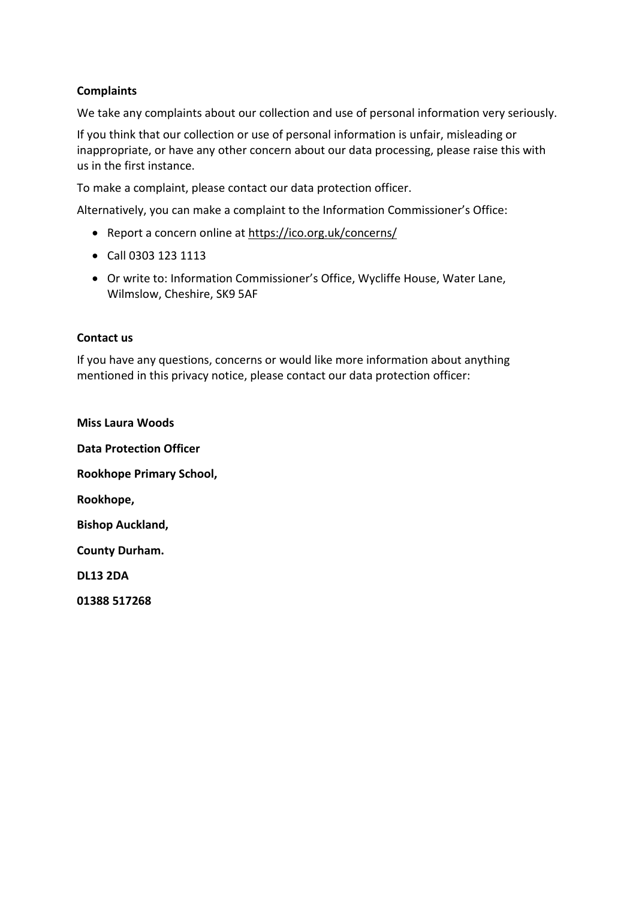## **Complaints**

We take any complaints about our collection and use of personal information very seriously.

If you think that our collection or use of personal information is unfair, misleading or inappropriate, or have any other concern about our data processing, please raise this with us in the first instance.

To make a complaint, please contact our data protection officer.

Alternatively, you can make a complaint to the Information Commissioner's Office:

- Report a concern online at<https://ico.org.uk/concerns/>
- Call 0303 123 1113
- Or write to: Information Commissioner's Office, Wycliffe House, Water Lane, Wilmslow, Cheshire, SK9 5AF

### **Contact us**

If you have any questions, concerns or would like more information about anything mentioned in this privacy notice, please contact our data protection officer:

**Miss Laura Woods Data Protection Officer Rookhope Primary School, Rookhope, Bishop Auckland, County Durham. DL13 2DA 01388 517268**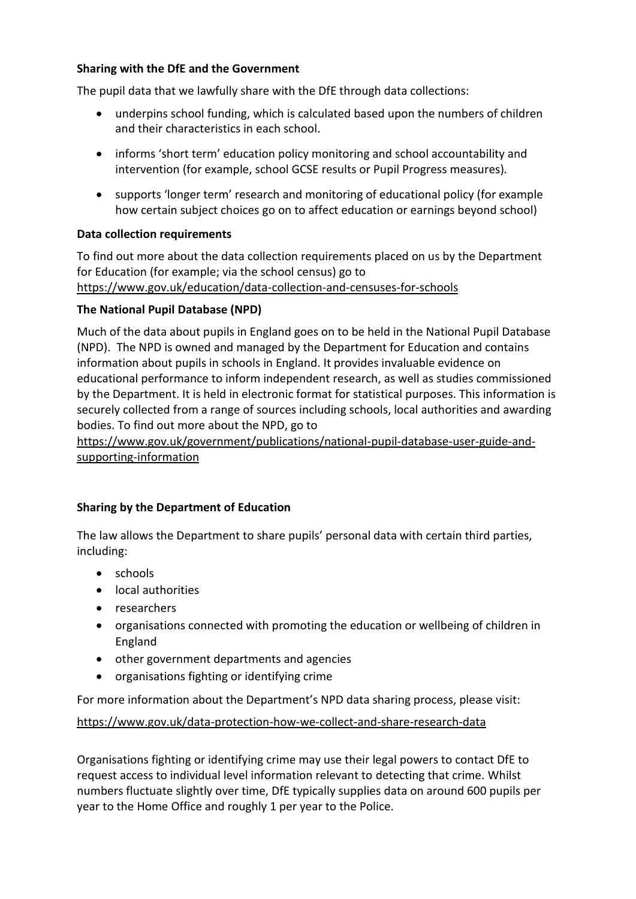## **Sharing with the DfE and the Government**

The pupil data that we lawfully share with the DfE through data collections:

- underpins school funding, which is calculated based upon the numbers of children and their characteristics in each school.
- informs 'short term' education policy monitoring and school accountability and intervention (for example, school GCSE results or Pupil Progress measures).
- supports 'longer term' research and monitoring of educational policy (for example how certain subject choices go on to affect education or earnings beyond school)

### **Data collection requirements**

To find out more about the data collection requirements placed on us by the Department for Education (for example; via the school census) go to <https://www.gov.uk/education/data-collection-and-censuses-for-schools>

### **The National Pupil Database (NPD)**

Much of the data about pupils in England goes on to be held in the National Pupil Database (NPD). The NPD is owned and managed by the Department for Education and contains information about pupils in schools in England. It provides invaluable evidence on educational performance to inform independent research, as well as studies commissioned by the Department. It is held in electronic format for statistical purposes. This information is securely collected from a range of sources including schools, local authorities and awarding bodies. To find out more about the NPD, go to

[https://www.gov.uk/government/publications/national-pupil-database-user-guide-and](https://www.gov.uk/government/publications/national-pupil-database-user-guide-and-supporting-information)[supporting-information](https://www.gov.uk/government/publications/national-pupil-database-user-guide-and-supporting-information)

#### **Sharing by the Department of Education**

The law allows the Department to share pupils' personal data with certain third parties, including:

- schools
- local authorities
- researchers
- organisations connected with promoting the education or wellbeing of children in England
- other government departments and agencies
- organisations fighting or identifying crime

For more information about the Department's NPD data sharing process, please visit:

#### <https://www.gov.uk/data-protection-how-we-collect-and-share-research-data>

Organisations fighting or identifying crime may use their legal powers to contact DfE to request access to individual level information relevant to detecting that crime. Whilst numbers fluctuate slightly over time, DfE typically supplies data on around 600 pupils per year to the Home Office and roughly 1 per year to the Police.